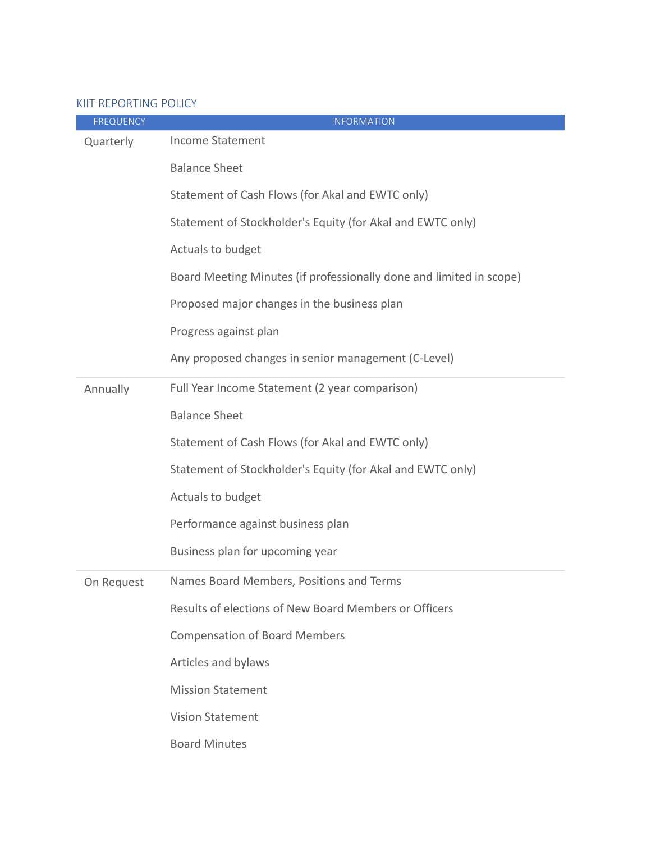## KIIT REPORTING POLICY

| <b>FREQUENCY</b> | <b>INFORMATION</b>                                                  |
|------------------|---------------------------------------------------------------------|
| Quarterly        | <b>Income Statement</b>                                             |
|                  | <b>Balance Sheet</b>                                                |
|                  | Statement of Cash Flows (for Akal and EWTC only)                    |
|                  | Statement of Stockholder's Equity (for Akal and EWTC only)          |
|                  | Actuals to budget                                                   |
|                  | Board Meeting Minutes (if professionally done and limited in scope) |
|                  | Proposed major changes in the business plan                         |
|                  | Progress against plan                                               |
|                  | Any proposed changes in senior management (C-Level)                 |
| Annually         | Full Year Income Statement (2 year comparison)                      |
|                  | <b>Balance Sheet</b>                                                |
|                  | Statement of Cash Flows (for Akal and EWTC only)                    |
|                  | Statement of Stockholder's Equity (for Akal and EWTC only)          |
|                  | Actuals to budget                                                   |
|                  | Performance against business plan                                   |
|                  | Business plan for upcoming year                                     |
| On Request       | Names Board Members, Positions and Terms                            |
|                  | Results of elections of New Board Members or Officers               |
|                  | <b>Compensation of Board Members</b>                                |
|                  | Articles and bylaws                                                 |
|                  | <b>Mission Statement</b>                                            |
|                  | <b>Vision Statement</b>                                             |
|                  | <b>Board Minutes</b>                                                |